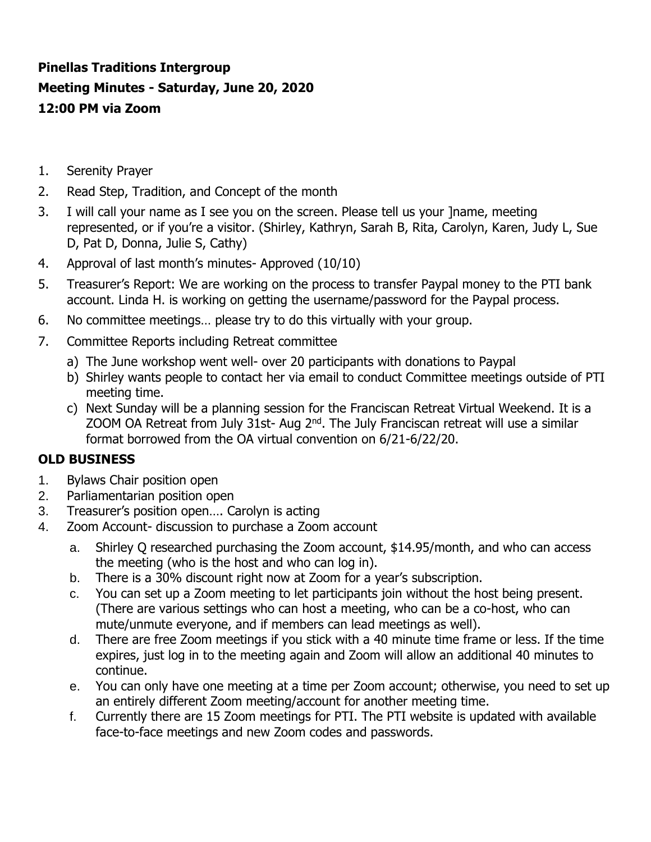# **Pinellas Traditions Intergroup Meeting Minutes - Saturday, June 20, 2020 12:00 PM via Zoom**

- 1. Serenity Prayer
- 2. Read Step, Tradition, and Concept of the month
- 3. I will call your name as I see you on the screen. Please tell us your ]name, meeting represented, or if you're a visitor. (Shirley, Kathryn, Sarah B, Rita, Carolyn, Karen, Judy L, Sue D, Pat D, Donna, Julie S, Cathy)
- 4. Approval of last month's minutes- Approved (10/10)
- 5. Treasurer's Report: We are working on the process to transfer Paypal money to the PTI bank account. Linda H. is working on getting the username/password for the Paypal process.
- 6. No committee meetings… please try to do this virtually with your group.
- 7. Committee Reports including Retreat committee
	- a) The June workshop went well- over 20 participants with donations to Paypal
	- b) Shirley wants people to contact her via email to conduct Committee meetings outside of PTI meeting time.
	- c) Next Sunday will be a planning session for the Franciscan Retreat Virtual Weekend. It is a ZOOM OA Retreat from July 31st- Aug 2<sup>nd</sup>. The July Franciscan retreat will use a similar format borrowed from the OA virtual convention on 6/21-6/22/20.

### **OLD BUSINESS**

- 1. Bylaws Chair position open
- 2. Parliamentarian position open
- 3. Treasurer's position open…. Carolyn is acting
- 4. Zoom Account- discussion to purchase a Zoom account
	- a. Shirley Q researched purchasing the Zoom account, \$14.95/month, and who can access the meeting (who is the host and who can log in).
	- b. There is a 30% discount right now at Zoom for a year's subscription.
	- c. You can set up a Zoom meeting to let participants join without the host being present. (There are various settings who can host a meeting, who can be a co-host, who can mute/unmute everyone, and if members can lead meetings as well).
	- d. There are free Zoom meetings if you stick with a 40 minute time frame or less. If the time expires, just log in to the meeting again and Zoom will allow an additional 40 minutes to continue.
	- e. You can only have one meeting at a time per Zoom account; otherwise, you need to set up an entirely different Zoom meeting/account for another meeting time.
	- f. Currently there are 15 Zoom meetings for PTI. The PTI website is updated with available face-to-face meetings and new Zoom codes and passwords.